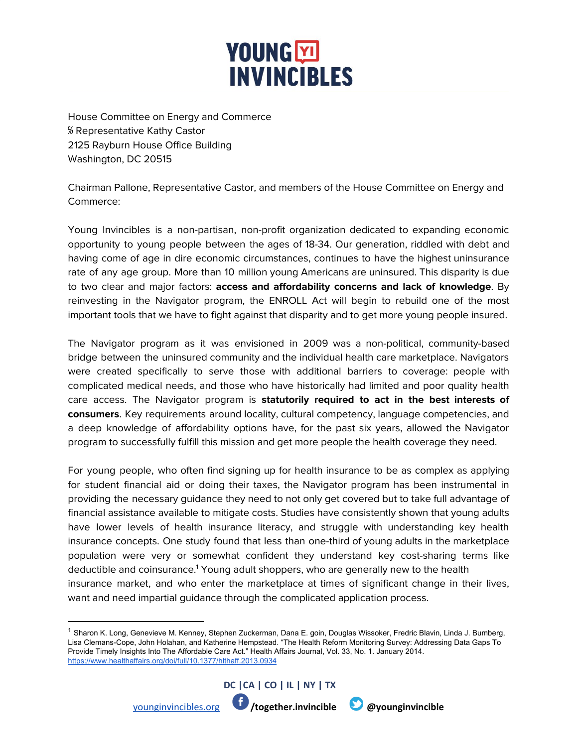## **YOUNG**<sub></sub> **INVINCIBLES**

House Committee on Energy and Commerce ℅ Representative Kathy Castor 2125 Rayburn House Office Building Washington, DC 20515

Chairman Pallone, Representative Castor, and members of the House Committee on Energy and Commerce:

Young Invincibles is a non-partisan, non-profit organization dedicated to expanding economic opportunity to young people between the ages of 18-34. Our generation, riddled with debt and having come of age in dire economic circumstances, continues to have the highest uninsurance rate of any age group. More than 10 million young Americans are uninsured. This disparity is due to two clear and major factors: **access and affordability concerns and lack of knowledge**. By reinvesting in the Navigator program, the ENROLL Act will begin to rebuild one of the most important tools that we have to fight against that disparity and to get more young people insured.

The Navigator program as it was envisioned in 2009 was a non-political, community-based bridge between the uninsured community and the individual health care marketplace. Navigators were created specifically to serve those with additional barriers to coverage: people with complicated medical needs, and those who have historically had limited and poor quality health care access. The Navigator program is **statutorily required to act in the best interests of consumers**. Key requirements around locality, cultural competency, language competencies, and a deep knowledge of affordability options have, for the past six years, allowed the Navigator program to successfully fulfill this mission and get more people the health coverage they need.

For young people, who often find signing up for health insurance to be as complex as applying for student financial aid or doing their taxes, the Navigator program has been instrumental in providing the necessary guidance they need to not only get covered but to take full advantage of financial assistance available to mitigate costs. Studies have consistently shown that young adults have lower levels of health insurance literacy, and struggle with understanding key health insurance concepts. One study found that less than one-third of young adults in the marketplace population were very or somewhat confident they understand key cost-sharing terms like deductible and coinsurance.<sup>1</sup> Young adult shoppers, who are generally new to the health insurance market, and who enter the marketplace at times of significant change in their lives, want and need impartial guidance through the complicated application process.

<sup>&</sup>lt;sup>1</sup> Sharon K. Long, Genevieve M. Kenney, Stephen Zuckerman, Dana E. goin, Douglas Wissoker, Fredric Blavin, Linda J. Bumberg, Lisa Clemans-Cope, John Holahan, and Katherine Hempstead. "The Health Reform Monitoring Survey: Addressing Data Gaps To Provide Timely Insights Into The Affordable Care Act." Health Affairs Journal, Vol. 33, No. 1. January 2014. <https://www.healthaffairs.org/doi/full/10.1377/hlthaff.2013.0934>